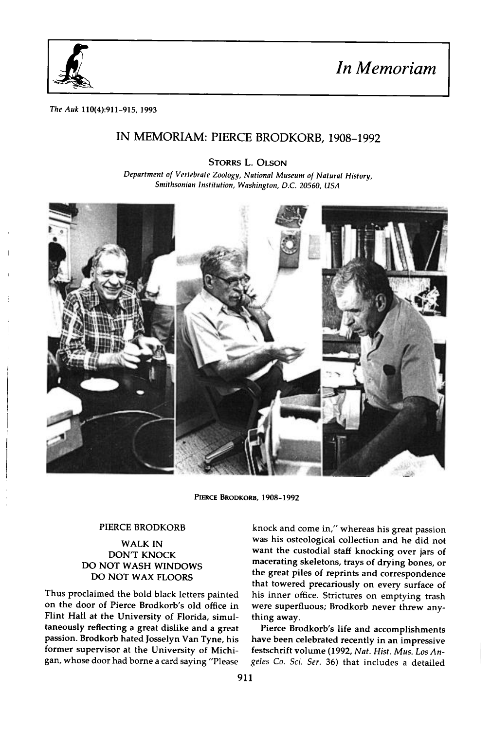

**In Memoriam** 

**The Auk 110(4):911-915, 1993** 

# **IN MEMORIAM: PIERCE BRODKORB, 1908-1992**

**STORRS L. OLSON** 

Department of Vertebrate Zoology, National Museum of Natural History, **Smithsonian Institution, Washington, D.C. 20560, USA** 



**PIERCE BRODKORB. 1908-1992** 

#### **PIERCE BRODKORB**

## **WALK IN DON'T KNOCK DO NOT WASH WINDOWS DO NOT WAX FLOORS**

**Thus proclaimed the bold black letters painted on the door of Pierce Brodkorb's old office in Flint Hall at the University of Florida, simultaneously reflecting a great dislike and a great passion. Brodkorb hated Josselyn Van Tyne, his former supervisor at the University of Michigan, whose door had borne a card saying "Please** 

**knock and come in," whereas his great passion was his osteological collection and he did not want the custodial staff knocking over jars of macerating skeletons, trays of drying bones, or the great piles of reprints and correspondence that towered precariously on every surface of his inner office. Strictures on emptying trash were superfluous; Brodkorb never threw anything away.** 

**Pierce Brodkorb's life and accomplishments have been celebrated recently in an impressive festschrift volume (1992, Nat. Hist. Mus. Los Angeles Co. Sci. Ser. 36) that includes a detailed**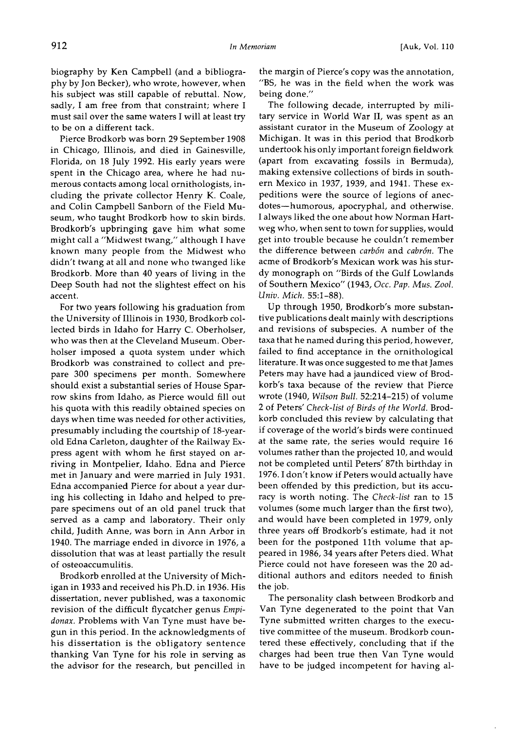**biography by Ken Campbell (and a bibliography by Jon Becker), who wrote, however, when his subject was still capable of rebuttal. Now, sadly, I am free from that constraint; where I must sail over the same waters I will at least try to be on a different tack.** 

**Pierce Brodkorb was born 29 September 1908 in Chicago, Illinois, and died in Gainesville, Florida, on 18 July 1992. His early years were spent in the Chicago area, where he had numerous contacts among local ornithologists, including the private collector Henry K. Coale, and Colin Campbell Sanborn of the Field Museum, who taught Brodkorb how to skin birds. Brodkorb's upbringing gave him what some might call a "Midwest twang," although I have known many people from the Midwest who didn't twang at all and none who twanged like Brodkorb. More than 40 years of living in the Deep South had not the slightest effect on his accent.** 

**For two years following his graduation from the University of Illinois in 1930, Brodkorb collected birds in Idaho for Harry C. Oberholser, who was then at the Cleveland Museum. Oberholser imposed a quota system under which Brodkorb was constrained to collect and prepare 300 specimens per month. Somewhere should exist a substantial series of House Sparrow skins from Idaho, as Pierce would fill out his quota with this readily obtained species on days when time was needed for other activities, presumably including the courtship of 18-yearold Edna Carleton, daughter of the Railway Express agent with whom he first stayed on arriving in Montpelier, Idaho. Edna and Pierce met in January and were married in July 1931. Edna accompanied Pierce for about a year during his collecting in Idaho and helped to prepare specimens out of an old panel truck that served as a camp and laboratory. Their only child, Judith Anne, was born in Ann Arbor in 1940. The marriage ended in divorce in 1976, a dissolution that was at least partially the result of osteoaccumulitis.** 

**Brodkorb enrolled at the University of Michigan in 1933 and received his Ph.D. in 1936. His dissertation, never published, was a taxonomic**  revision of the difficult flycatcher genus *Empi***donax. Problems with Van Tyne must have begun in this period. In the acknowledgments of his dissertation is the obligatory sentence thanking Van Tyne for his role in serving as the advisor for the research, but pencilled in** 

**the margin of Pierce's copy was the annotation, "BS, he was in the field when the work was being done."** 

**The following decade, interrupted by military service in World War II, was spent as an assistant curator in the Museum of Zoology at Michigan. It was in this period that Brodkorb undertook his only important foreign fieldwork (apart from excavating fossils in Bermuda), making extensive collections of birds in southern Mexico in 1937, 1939, and 1941. These expeditions were the source of legions of anecdotes-humorous, apocryphal, and otherwise. I always liked the one about how Norman Hartweg who, when sent to town for supplies, would get into trouble because he couldn't remember**  the difference between *carbón* and *cabrón*. The **acme of Brodkorb's Mexican work was his sturdy monograph on "Birds of the Gulf Lowlands of Southern Mexico" (1943, Occ. Pap. Mus. Zool. Univ. Mich. 55:1-88).** 

**Up through 1950, Brodkorb's more substantive publications dealt mainly with descriptions and revisions of subspecies. A number of the taxa that he named during this period, however, failed to find acceptance in the ornithological literature. It was once suggested to me that James Peters may have had a jaundiced view of Brodkorb's taxa because of the review that Pierce wrote (1940, Wilson Bull. 52:214-215) of volume 2 of Peters' Check-list of Birds of the World. Brodkorb concluded this review by calculating that if coverage of the world's birds were continued at the same rate, the series would require 16 volumes rather than the projected 10, and would not be completed until Peters' 87th birthday in 1976. ! don't know if Peters would actually have been offended by this prediction, but its accuracy is worth noting. The Check-list ran to 15 volumes (some much larger than the first two), and would have been completed in 1979, only three years off Brodkorb's estimate, had it not been for the postponed 11th volume that appeared in 1986, 34 years after Peters died. What Pierce could not have foreseen was the 20 additional authors and editors needed to finish the job.** 

**The personality clash between Brodkorb and Van Tyne degenerated to the point that Van Tyne submitted written charges to the executive committee of the museum. Brodkorb countered these effectively, concluding that if the charges had been true then Van Tyne would have to be judged incompetent for having al-**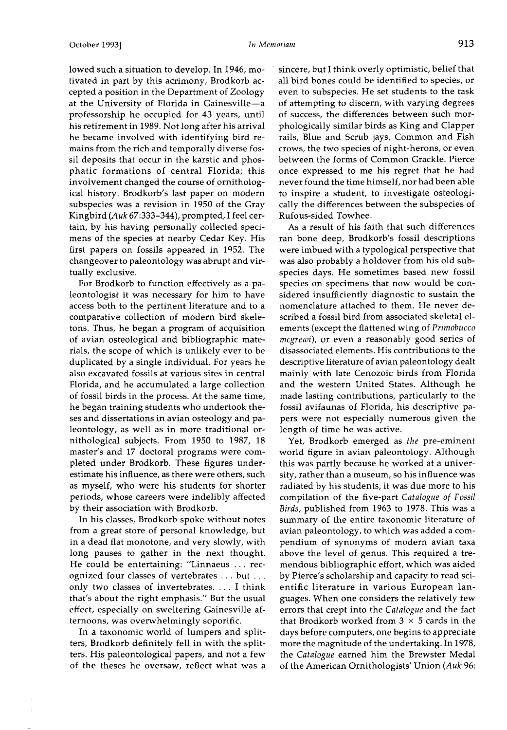**lowed such a situation to develop. In 1946, motivated in part by this acrimony, Brodkorb accepted a position in the Department of Zoology at the University of Florida in Gainesville--a professorship he occupied for 43 years, until his retirement in 1989. Not long after his arrival he became involved with identifying bird remains from the rich and temporally diverse fossil deposits that occur in the karstic and phosphatic formations of central Florida; this involvement changed the course of ornithological history. Brodkorb's last paper on modern subspecies was a revision in 1950 of the Gray Kingbird (Auk 67:333-344), prompted, I feel certain, by his having personally collected specimens of the species at nearby Cedar Key. His**  first papers on fossils appeared in 1952. The **changeover to paleontology was abrupt and virtually exclusive.** 

**For Brodkorb to function effectively as a paleontologist it was necessary for him to have access both to the pertinent literature and to a comparative collection of modern bird skeletons. Thus, he began a program of acquisition of avian osteological and bibliographic materials, the scope of which is unlikely ever to be duplicated by a single individual. For years he also excavated fossils at various sites in central Florida, and he accumulated a large collection of fossil birds in the process. At the same time, he began training students who undertook theses and dissertations in avian osteology and paleontology, as well as in more traditional ornithological subjects. From 1950 to 1987, 18 master's and 17 doctoral programs were completed under Brodkorb. These figures underestimate his influence, as there were others, such as myself, who were his students for shorter periods, whose careers were indelibly affected by their association with Brodkorb.** 

**In his classes, Brodkorb spoke without notes from a great store of personal knowledge, but in a dead flat monotone, and very slowly, with long pauses to gather in the next thought. He could be entertaining: "Linnaeus ... recognized four classes of vertebrates ... but ... only two classes of invertebrates .... I think that's about the right emphasis." But the usual effect, especially on sweltering Gainesville afternoons, was overwhelmingly soporific.** 

**In a taxonomic world of lumpers and splitters, Brodkorb definitely fell in with the splitters. His paleontological papers, and not a few of the theses he oversaw, reflect what was a**  **sincere, but I think overly optimistic, belief that all bird bones could be identified to species, or even to subspecies. He set students to the task of attempting to discern, with varying degrees of success, the differences between such morphologically similar birds as King and Clapper rails, Blue and Scrub jays, Common and Fish crows, the two species of night-herons, or even between the forms of Common Grackle. Pierce once expressed to me his regret that he had never found the time himself, nor had been able to inspire a student, to investigate osteologically the differences between the subspecies of Rufous-sided Towhee.** 

**As a result of his faith that such differences ran bone deep, Brodkorb's fossil descriptions were imbued with a typological perspective that was also probably a holdover from his old subspecies days. He sometimes based new fossil species on specimens that now would be considered insufficiently diagnostic to sustain the nomenclature attached to them. He never described a fossil bird from associated skeletal elements (except the flattened wing of Primobucco mcgrewi), or even a reasonably good series of disassociated elements. His contributions to the descriptive literature of avian paleontology dealt mainly with late Cenozoic birds from Florida and the western United States. Although he made lasting contributions, particularly to the fossil avifaunas of Florida, his descriptive papers were not especially numerous given the length of time he was active.** 

**Yet, Brodkorb emerged as the pre-eminent world figure in avian paleontology. Although this was partly because he worked at a university, rather than a museum, so his influence was radiated by his students, it was due more to his compilation of the five-part Catalogue of Fossil Birds, published from 1963 to 1978. This was a summary of the entire taxonomic literature of avian paleontology, to which was added a compendium of synonyms of modern avian taxa above the level of genus. This required a tremendous bibliographic effort, which was aided by Pierce's scholarship and capacity to read scientific literature in various European languages. When one considers the relatively few errors that crept into the Catalogue and the fact**  that Brodkorb worked from  $3 \times 5$  cards in the **days before computers, one begins to appreciate more the magnitude of the undertaking. In ! 978,**  the Catalogue earned him the Brewster Medal **of the American Ornithologists' Union (Auk 96:**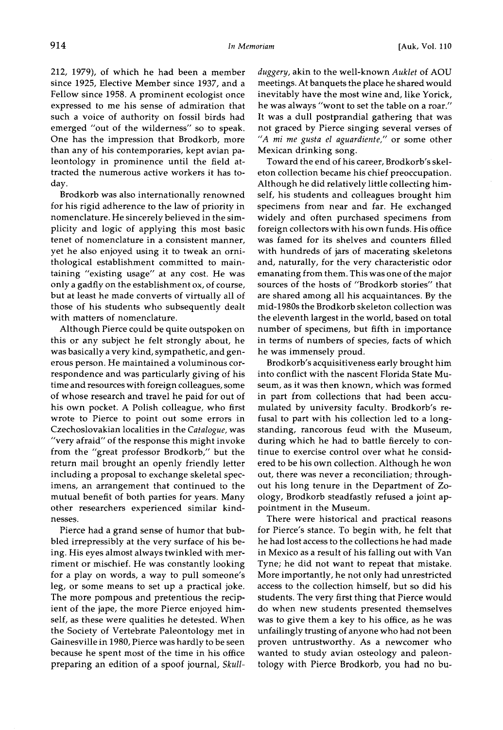**212, 1979), of which he had been a member since 1925, Elective Member since 1937, and a Fellow since 1958. A prominent ecologist once expressed to me his sense of admiration that such a voice of authority on fossil birds had emerged "out of the wilderness" so to speak. One has the impression that Brodkorb, more than any of his contemporaries, kept avian paleontology in prominence until the field attracted the numerous active workers it has today.** 

**Brodkorb was also internationally renowned for his rigid adherence to the law of priority in nomenclature. He sincerely believed in the simplicity and logic of applying this most basic tenet of nomenclature in a consistent manner, yet he also enjoyed using it to tweak an ornithological establishment committed to maintaining "existing usage" at any cost. He was only a gadfly on the establishment ox, of course, but at least he made converts of virtually all of those of his students who subsequently dealt with matters of nomenclature.** 

**Although Pierce could be quite outspoken on this or any subject he felt strongly about, he was basically a very kind, sympathetic, and generous person. He maintained a voluminous correspondence and was particularly giving of his time and resources with foreign colleagues, some of whose research and travel he paid for out of his own pocket. A Polish colleague, who first wrote to Pierce to point out some errors in Czechoslovakian localities in the Catalogue, was "very afraid" of the response this might invoke from the "great professor Brodkorb," but the return mail brought an openly friendly letter including a proposal to exchange skeletal specimens, an arrangement that continued to the mutual benefit of both parties for years. Many other researchers experienced similar kindl•esses.** 

**Pierce had a grand sense of humor that bubbled irrepressibly at the very surface of his**  ing. His eyes almost always twinkled with mer**riment or mischief. He was constantly looking for a play on words, a way to pull someone's leg, or some means to set up a practical joke. The more pompous and pretentious the recipient of the iape, the more Pierce enioyed himself, as these were qualities he detested. When the Society of Vertebrate Paleontology met in Gainesville in 1980, Pierce was hardly to be seen because he spent most of the time in his office preparing an edition of a spoof iournal, Skull-**

**duggery, akin to the well-known Auklet of AOU meetings. At banquets the place he shared would inevitably have the most wine and, like Yorick, he was always "wont to set the table on a roar." It was a dull postprandial gathering that was not graced by Pierce singing several verses of "A mi me gusta el aguardiente," or some other Mexican drinking song.** 

**Toward the end of his career, Brodkorb's skeleton collection became his chief preoccupation. Although he did relatively little collecting himself, his students and colleagues brought him specimens from near and far. He exchanged widely and often purchased specimens from foreign collectors with his own funds. His office was famed for its shelves and counters filled with hundreds of jars of macerating skeletons and, naturally, for the very characteristic odor emanating from them. This was one of the major sources of the hosts of "Brodkorb stories" that are shared among all his acquaintances. By the mid-1980s the Brodkorb skeleton collection was the eleventh largest in the world, based on total number of specimens, but fifth in importance in terms of numbers of species, facts of which he was immensely proud.** 

**Brodkorb's acquisitiveness early brought him into conflict with the nascent Florida State Museum, as it was then known, which was formed in part from collections that had been accumulated by university faculty. Brodkorb's refusal to part with his collection led to a longstanding, rancorous feud with the Museum, during which he had to battle fiercely to continue to exercise control over what he considered to be his own collection. Although he won out, there was never a reconciliation; throughout his long tenure in the Department of Zoology, Brodkorb steadfastly refused a joint appointment in the Museum.** 

**There were historical and practical reasons for Pierce's stance. To begin with, he felt that he had lost access to the collections he had made in Mexico as a result of his falling out with Van Tyne; he did not want to repeat that mistake. More importantly, he not only had unrestricted access to the collection himself, but so did his students. The very first thing that Pierce would do when new students presented themselves was to give them a key to his office, as he was unfailingly trusting of anyone who had not been proven untrustworthy. As a newcomer who wanted to study avian osteology and paleontology with Pierce Brodkorb, you had no bu-**